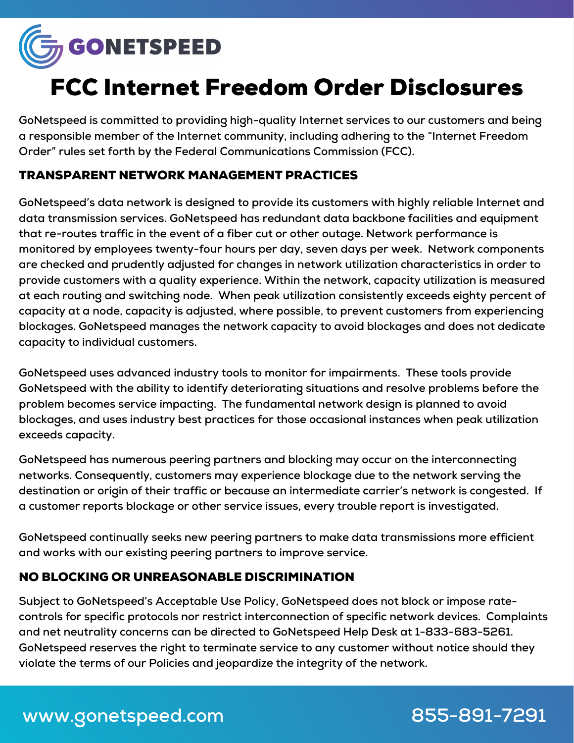

# FCC Internet Freedom Order Disclosures

**GoNetspeed is committed to providing high-quality Internet services to our customers and being a responsible member of the Internet community, including adhering to the "Internet Freedom Order" rules set forth by the Federal Communications Commission (FCC).**

## TRANSPARENT NETWORK MANAGEMENT PRACTICES

**GoNetspeed's data network is designed to provide its customers with highly reliable Internet and data transmission services. GoNetspeed has redundant data backbone facilities and equipment that re-routes traffic in the event of a fiber cut or other outage. Network performance is monitored by employees twenty-four hours per day, seven days per week. Network components are checked and prudently adjusted for changes in network utilization characteristics in order to provide customers with a quality experience. Within the network, capacity utilization is measured at each routing and switching node. When peak utilization consistently exceeds eighty percent of capacity at a node, capacity is adjusted, where possible, to prevent customers from experiencing blockages. GoNetspeed manages the network capacity to avoid blockages and does not dedicate capacity to individual customers.**

**GoNetspeed uses advanced industry tools to monitor for impairments. These tools provide GoNetspeed with the ability to identify deteriorating situations and resolve problems before the problem becomes service impacting. The fundamental network design is planned to avoid blockages, and uses industry best practices for those occasional instances when peak utilization exceeds capacity.**

**GoNetspeed has numerous peering partners and blocking may occur on the interconnecting networks. Consequently, customers may experience blockage due to the network serving the destination or origin of their traffic or because an intermediate carrier's network is congested. If a customer reports blockage or other service issues, every trouble report is investigated.**

**GoNetspeed continually seeks new peering partners to make data transmissions more efficient and works with our existing peering partners to improve service.**

### NO BLOCKING OR UNREASONABLE DISCRIMINATION

**Subject to GoNetspeed's Acceptable Use Policy, GoNetspeed does not block or impose ratecontrols for specific protocols nor restrict interconnection of specific network devices. Complaints and net neutrality concerns can be directed to GoNetspeed Help Desk at 1-833-683-5261. GoNetspeed reserves the right to terminate service to any customer without notice should they violate the terms of our Policies and jeopardize the integrity of the network.**

## **www.gonetspeed.com 855-891-7291**